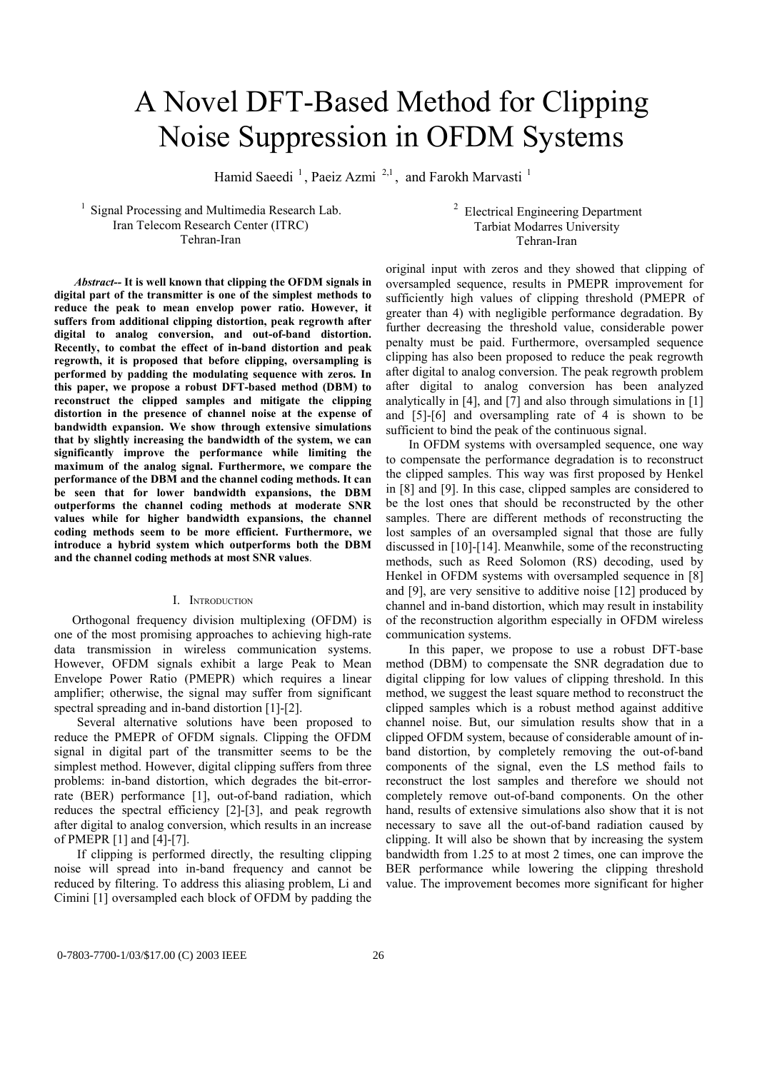# A Novel DFT-Based Method for Clipping Noise Suppression in OFDM Systems

Hamid Saeedi<sup>1</sup>, Paeiz Azmi<sup>2,1</sup>, and Farokh Marvasti<sup>1</sup>

<sup>1</sup> Signal Processing and Multimedia Research Lab. Iran Telecom Research Center (ITRC) Tehran-Iran

<sup>2</sup> Electrical Engineering Department Tarbiat Modarres University Tehran-Iran

 *Abstract--* **It is well known that clipping the OFDM signals in digital part of the transmitter is one of the simplest methods to reduce the peak to mean envelop power ratio. However, it suffers from additional clipping distortion, peak regrowth after digital to analog conversion, and out-of-band distortion. Recently, to combat the effect of in-band distortion and peak regrowth, it is proposed that before clipping, oversampling is performed by padding the modulating sequence with zeros. In this paper, we propose a robust DFT-based method (DBM) to reconstruct the clipped samples and mitigate the clipping distortion in the presence of channel noise at the expense of bandwidth expansion. We show through extensive simulations that by slightly increasing the bandwidth of the system, we can significantly improve the performance while limiting the maximum of the analog signal. Furthermore, we compare the performance of the DBM and the channel coding methods. It can be seen that for lower bandwidth expansions, the DBM outperforms the channel coding methods at moderate SNR values while for higher bandwidth expansions, the channel coding methods seem to be more efficient. Furthermore, we introduce a hybrid system which outperforms both the DBM and the channel coding methods at most SNR values**.

## I. INTRODUCTION

Orthogonal frequency division multiplexing (OFDM) is one of the most promising approaches to achieving high-rate data transmission in wireless communication systems. However, OFDM signals exhibit a large Peak to Mean Envelope Power Ratio (PMEPR) which requires a linear amplifier; otherwise, the signal may suffer from significant spectral spreading and in-band distortion [1]-[2].

Several alternative solutions have been proposed to reduce the PMEPR of OFDM signals. Clipping the OFDM signal in digital part of the transmitter seems to be the simplest method. However, digital clipping suffers from three problems: in-band distortion, which degrades the bit-errorrate (BER) performance [1], out-of-band radiation, which reduces the spectral efficiency [2]-[3], and peak regrowth after digital to analog conversion, which results in an increase of PMEPR [1] and [4]-[7].

If clipping is performed directly, the resulting clipping noise will spread into in-band frequency and cannot be reduced by filtering. To address this aliasing problem, Li and Cimini [1] oversampled each block of OFDM by padding the

original input with zeros and they showed that clipping of oversampled sequence, results in PMEPR improvement for sufficiently high values of clipping threshold (PMEPR of greater than 4) with negligible performance degradation. By further decreasing the threshold value, considerable power penalty must be paid. Furthermore, oversampled sequence clipping has also been proposed to reduce the peak regrowth after digital to analog conversion. The peak regrowth problem after digital to analog conversion has been analyzed analytically in [4], and [7] and also through simulations in [1] and [5]-[6] and oversampling rate of 4 is shown to be sufficient to bind the peak of the continuous signal.

In OFDM systems with oversampled sequence, one way to compensate the performance degradation is to reconstruct the clipped samples. This way was first proposed by Henkel in [8] and [9]. In this case, clipped samples are considered to be the lost ones that should be reconstructed by the other samples. There are different methods of reconstructing the lost samples of an oversampled signal that those are fully discussed in [10]-[14]. Meanwhile, some of the reconstructing methods, such as Reed Solomon (RS) decoding, used by Henkel in OFDM systems with oversampled sequence in [8] and [9], are very sensitive to additive noise [12] produced by channel and in-band distortion, which may result in instability of the reconstruction algorithm especially in OFDM wireless communication systems.

In this paper, we propose to use a robust DFT-base method (DBM) to compensate the SNR degradation due to digital clipping for low values of clipping threshold. In this method, we suggest the least square method to reconstruct the clipped samples which is a robust method against additive channel noise. But, our simulation results show that in a clipped OFDM system, because of considerable amount of inband distortion, by completely removing the out-of-band components of the signal, even the LS method fails to reconstruct the lost samples and therefore we should not completely remove out-of-band components. On the other hand, results of extensive simulations also show that it is not necessary to save all the out-of-band radiation caused by clipping. It will also be shown that by increasing the system bandwidth from 1.25 to at most 2 times, one can improve the BER performance while lowering the clipping threshold value. The improvement becomes more significant for higher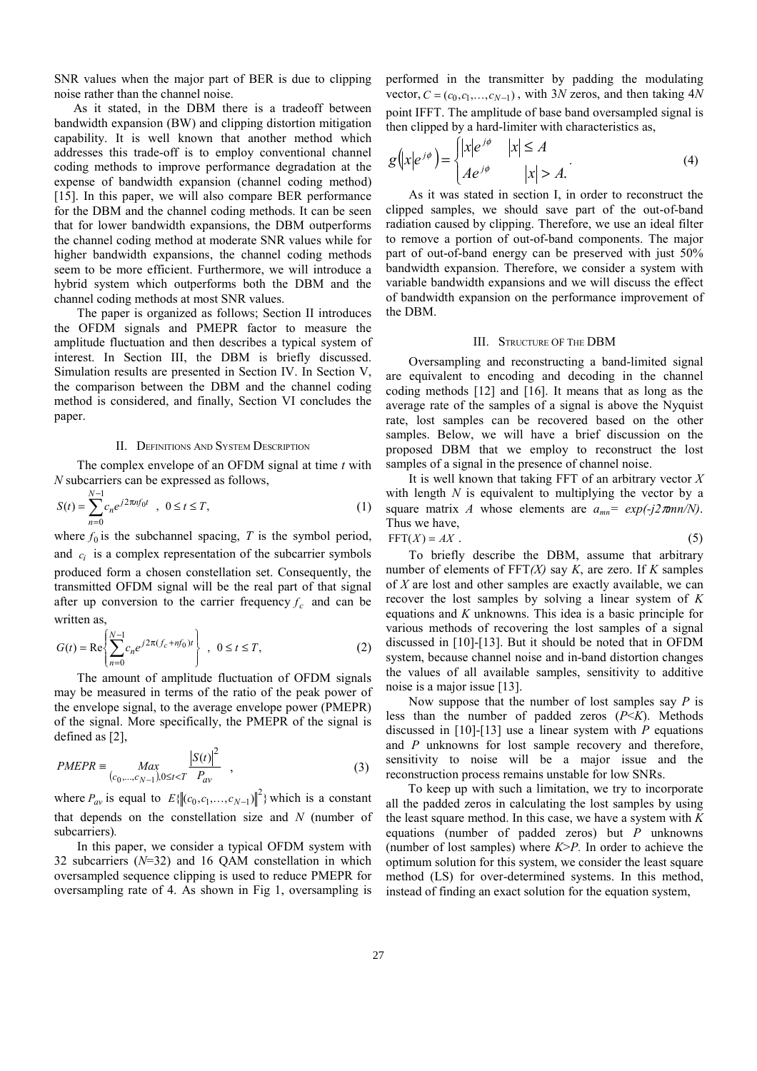SNR values when the major part of BER is due to clipping noise rather than the channel noise.

 As it stated, in the DBM there is a tradeoff between bandwidth expansion (BW) and clipping distortion mitigation capability. It is well known that another method which addresses this trade-off is to employ conventional channel coding methods to improve performance degradation at the expense of bandwidth expansion (channel coding method) [15]. In this paper, we will also compare BER performance for the DBM and the channel coding methods. It can be seen that for lower bandwidth expansions, the DBM outperforms the channel coding method at moderate SNR values while for higher bandwidth expansions, the channel coding methods seem to be more efficient. Furthermore, we will introduce a hybrid system which outperforms both the DBM and the channel coding methods at most SNR values.

The paper is organized as follows; Section II introduces the OFDM signals and PMEPR factor to measure the amplitude fluctuation and then describes a typical system of interest. In Section III, the DBM is briefly discussed. Simulation results are presented in Section IV. In Section V, the comparison between the DBM and the channel coding method is considered, and finally, Section VI concludes the paper.

#### II. DEFINITIONS AND SYSTEM DESCRIPTION

The complex envelope of an OFDM signal at time *t* with *N* subcarriers can be expressed as follows,

$$
S(t) = \sum_{n=0}^{N-1} c_n e^{j2\pi n f_0 t} , \quad 0 \le t \le T,
$$
 (1)

where  $f_0$  is the subchannel spacing, *T* is the symbol period, and  $c_i$  is a complex representation of the subcarrier symbols produced form a chosen constellation set. Consequently, the transmitted OFDM signal will be the real part of that signal after up conversion to the carrier frequency  $f_c$  and can be written as,

$$
G(t) = \text{Re}\left\{\sum_{n=0}^{N-1} c_n e^{j2\pi (f_c + nf_0)t}\right\}, \ 0 \le t \le T,
$$
 (2)

The amount of amplitude fluctuation of OFDM signals may be measured in terms of the ratio of the peak power of the envelope signal, to the average envelope power (PMEPR) of the signal. More specifically, the PMEPR of the signal is defined as [2],

$$
PMEPR \equiv \frac{Max}{(c_0, ..., c_{N-1}), 0 \le t < T} \frac{|S(t)|^2}{P_{av}},
$$
\n(3)

where  $P_{av}$  is equal to  $E\{\|(c_0, c_1, \ldots, c_{N-1})\|^2\}$  which is a constant that depends on the constellation size and *N* (number of subcarriers)*.*

In this paper, we consider a typical OFDM system with 32 subcarriers (*N*=32) and 16 QAM constellation in which oversampled sequence clipping is used to reduce PMEPR for oversampling rate of 4. As shown in Fig 1, oversampling is performed in the transmitter by padding the modulating vector,  $C = (c_0, c_1, \ldots, c_{N-1})$ , with 3*N* zeros, and then taking 4*N* point IFFT. The amplitude of base band oversampled signal is then clipped by a hard-limiter with characteristics as,

$$
g(x|e^{j\phi}) = \begin{cases} |x|e^{j\phi} & |x| \le A \\ Ae^{j\phi} & |x| > A. \end{cases}
$$
 (4)

As it was stated in section I, in order to reconstruct the clipped samples, we should save part of the out-of-band radiation caused by clipping. Therefore, we use an ideal filter to remove a portion of out-of-band components. The major part of out-of-band energy can be preserved with just 50% bandwidth expansion. Therefore, we consider a system with variable bandwidth expansions and we will discuss the effect of bandwidth expansion on the performance improvement of the DBM.

#### III. STRUCTURE OF THE DBM

Oversampling and reconstructing a band-limited signal are equivalent to encoding and decoding in the channel coding methods [12] and [16]. It means that as long as the average rate of the samples of a signal is above the Nyquist rate, lost samples can be recovered based on the other samples. Below, we will have a brief discussion on the proposed DBM that we employ to reconstruct the lost samples of a signal in the presence of channel noise.

It is well known that taking FFT of an arbitrary vector *X* with length *N* is equivalent to multiplying the vector by a square matrix *A* whose elements are  $a_{mn} = \exp(-i2\pi mn/N)$ . Thus we have,

$$
FFT(X) = AX
$$
 (5)

To briefly describe the DBM, assume that arbitrary number of elements of FFT*(X)* say *K*, are zero. If *K* samples of *X* are lost and other samples are exactly available, we can recover the lost samples by solving a linear system of *K* equations and *K* unknowns. This idea is a basic principle for various methods of recovering the lost samples of a signal discussed in [10]-[13]. But it should be noted that in OFDM system, because channel noise and in-band distortion changes the values of all available samples, sensitivity to additive noise is a major issue [13].

Now suppose that the number of lost samples say *P* is less than the number of padded zeros (*P*<*K*). Methods discussed in [10]-[13] use a linear system with *P* equations and *P* unknowns for lost sample recovery and therefore, sensitivity to noise will be a major issue and the reconstruction process remains unstable for low SNRs.

 To keep up with such a limitation, we try to incorporate all the padded zeros in calculating the lost samples by using the least square method. In this case, we have a system with *K* equations (number of padded zeros) but *P* unknowns (number of lost samples) where *K*>*P.* In order to achieve the optimum solution for this system, we consider the least square method (LS) for over-determined systems. In this method, instead of finding an exact solution for the equation system,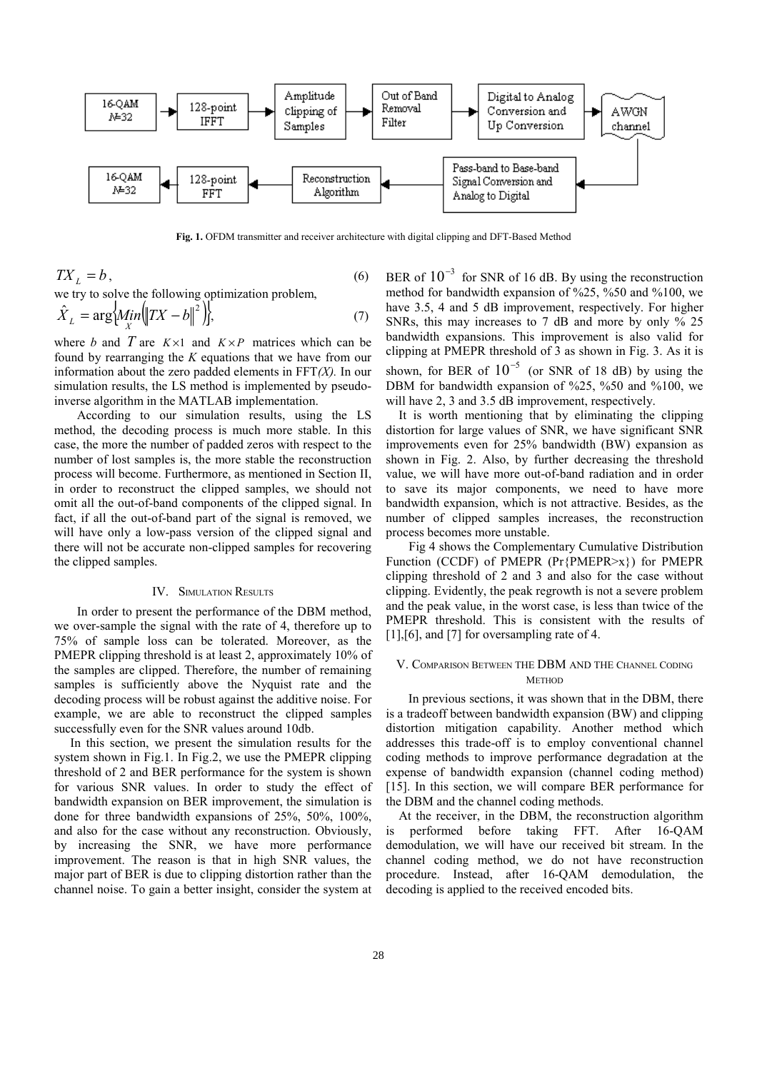

**Fig. 1.** OFDM transmitter and receiver architecture with digital clipping and DFT-Based Method

$$
TX_L = b,\tag{6}
$$

we try to solve the following optimization problem,

$$
\hat{X}_L = \arg\{ \hat{M}_{X} \in \mathbb{R}^2 \}.
$$
\n<sup>(7)</sup>

where *b* and *T* are  $K \times 1$  and  $K \times P$  matrices which can be found by rearranging the *K* equations that we have from our information about the zero padded elements in FFT*(X).* In our simulation results, the LS method is implemented by pseudoinverse algorithm in the MATLAB implementation.

According to our simulation results, using the LS method, the decoding process is much more stable. In this case, the more the number of padded zeros with respect to the number of lost samples is, the more stable the reconstruction process will become. Furthermore, as mentioned in Section II, in order to reconstruct the clipped samples, we should not omit all the out-of-band components of the clipped signal. In fact, if all the out-of-band part of the signal is removed, we will have only a low-pass version of the clipped signal and there will not be accurate non-clipped samples for recovering the clipped samples.

# IV. SIMULATION RESULTS

In order to present the performance of the DBM method, we over-sample the signal with the rate of 4, therefore up to 75% of sample loss can be tolerated. Moreover, as the PMEPR clipping threshold is at least 2, approximately 10% of the samples are clipped. Therefore, the number of remaining samples is sufficiently above the Nyquist rate and the decoding process will be robust against the additive noise. For example, we are able to reconstruct the clipped samples successfully even for the SNR values around 10db.

 In this section, we present the simulation results for the system shown in Fig.1. In Fig.2, we use the PMEPR clipping threshold of 2 and BER performance for the system is shown for various SNR values. In order to study the effect of bandwidth expansion on BER improvement, the simulation is done for three bandwidth expansions of 25%, 50%, 100%, and also for the case without any reconstruction. Obviously, by increasing the SNR, we have more performance improvement. The reason is that in high SNR values, the major part of BER is due to clipping distortion rather than the channel noise. To gain a better insight, consider the system at BER of  $10^{-3}$  for SNR of 16 dB. By using the reconstruction method for bandwidth expansion of %25, %50 and %100, we have 3.5, 4 and 5 dB improvement, respectively. For higher SNRs, this may increases to 7 dB and more by only % 25 bandwidth expansions. This improvement is also valid for clipping at PMEPR threshold of 3 as shown in Fig. 3. As it is shown, for BER of  $10^{-5}$  (or SNR of 18 dB) by using the DBM for bandwidth expansion of %25, %50 and %100, we will have 2, 3 and 3.5 dB improvement, respectively.

 It is worth mentioning that by eliminating the clipping distortion for large values of SNR, we have significant SNR improvements even for 25% bandwidth (BW) expansion as shown in Fig. 2. Also, by further decreasing the threshold value, we will have more out-of-band radiation and in order to save its major components, we need to have more bandwidth expansion, which is not attractive. Besides, as the number of clipped samples increases, the reconstruction process becomes more unstable.

Fig 4 shows the Complementary Cumulative Distribution Function (CCDF) of PMEPR (Pr{PMEPR>x}) for PMEPR clipping threshold of 2 and 3 and also for the case without clipping. Evidently, the peak regrowth is not a severe problem and the peak value, in the worst case, is less than twice of the PMEPR threshold. This is consistent with the results of [1], [6], and [7] for oversampling rate of 4.

## V. COMPARISON BETWEEN THE DBM AND THE CHANNEL CODING **METHOD**

 In previous sections, it was shown that in the DBM, there is a tradeoff between bandwidth expansion (BW) and clipping distortion mitigation capability. Another method which addresses this trade-off is to employ conventional channel coding methods to improve performance degradation at the expense of bandwidth expansion (channel coding method) [15]. In this section, we will compare BER performance for the DBM and the channel coding methods.

 At the receiver, in the DBM, the reconstruction algorithm is performed before taking FFT. After 16-QAM demodulation, we will have our received bit stream. In the channel coding method, we do not have reconstruction procedure. Instead, after 16-QAM demodulation, the decoding is applied to the received encoded bits.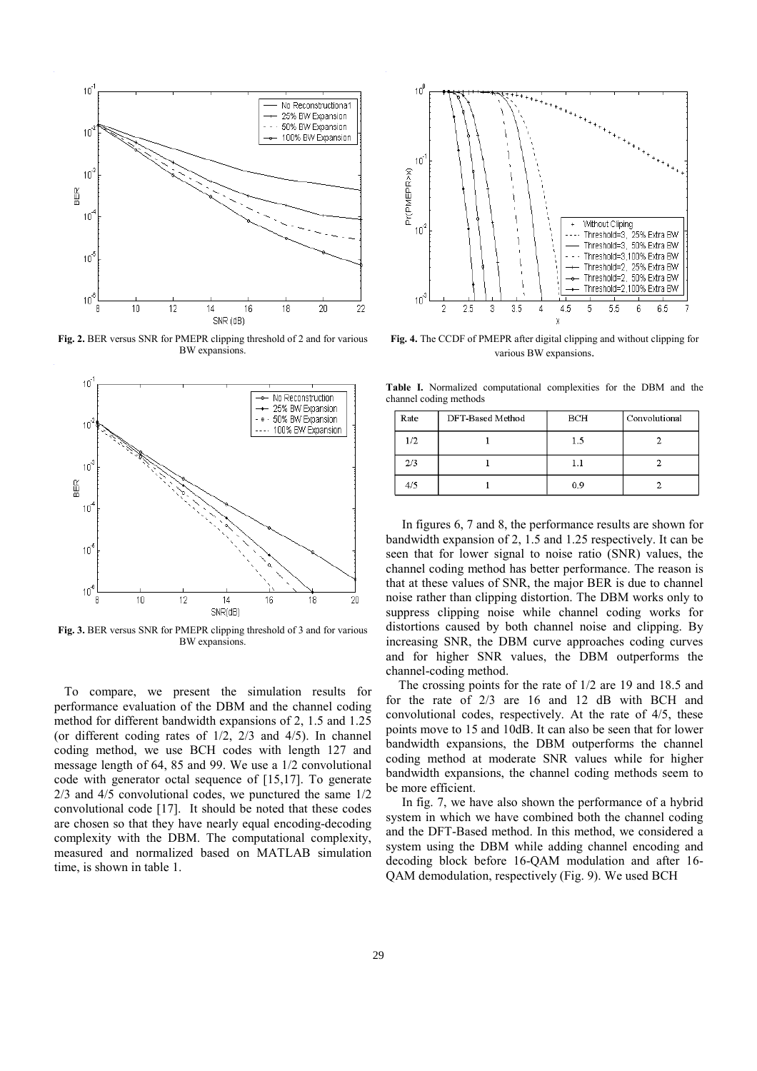

**Fig. 2.** BER versus SNR for PMEPR clipping threshold of 2 and for various BW expansions.



**Fig. 3.** BER versus SNR for PMEPR clipping threshold of 3 and for various BW expansions.

 To compare, we present the simulation results for performance evaluation of the DBM and the channel coding method for different bandwidth expansions of 2, 1.5 and 1.25 (or different coding rates of 1/2, 2/3 and 4/5). In channel coding method, we use BCH codes with length 127 and message length of 64, 85 and 99. We use a 1/2 convolutional code with generator octal sequence of [15,17]. To generate 2/3 and 4/5 convolutional codes, we punctured the same 1/2 convolutional code [17]. It should be noted that these codes are chosen so that they have nearly equal encoding-decoding complexity with the DBM. The computational complexity, measured and normalized based on MATLAB simulation time, is shown in table 1.



**Fig. 4.** The CCDF of PMEPR after digital clipping and without clipping for various BW expansions.

**Table I.** Normalized computational complexities for the DBM and the channel coding methods

| Rate | DFT-Based Method | BCH | Convolutional |
|------|------------------|-----|---------------|
| 1/2  |                  | 1.5 |               |
| 2/3  |                  | 1.1 |               |
| 4/5  |                  | 0.9 |               |

 In figures 6, 7 and 8, the performance results are shown for bandwidth expansion of 2, 1.5 and 1.25 respectively. It can be seen that for lower signal to noise ratio (SNR) values, the channel coding method has better performance. The reason is that at these values of SNR, the major BER is due to channel noise rather than clipping distortion. The DBM works only to suppress clipping noise while channel coding works for distortions caused by both channel noise and clipping. By increasing SNR, the DBM curve approaches coding curves and for higher SNR values, the DBM outperforms the channel-coding method.

 The crossing points for the rate of 1/2 are 19 and 18.5 and for the rate of 2/3 are 16 and 12 dB with BCH and convolutional codes, respectively. At the rate of 4/5, these points move to 15 and 10dB. It can also be seen that for lower bandwidth expansions, the DBM outperforms the channel coding method at moderate SNR values while for higher bandwidth expansions, the channel coding methods seem to be more efficient.

 In fig. 7, we have also shown the performance of a hybrid system in which we have combined both the channel coding and the DFT-Based method. In this method, we considered a system using the DBM while adding channel encoding and decoding block before 16-QAM modulation and after 16- QAM demodulation, respectively (Fig. 9). We used BCH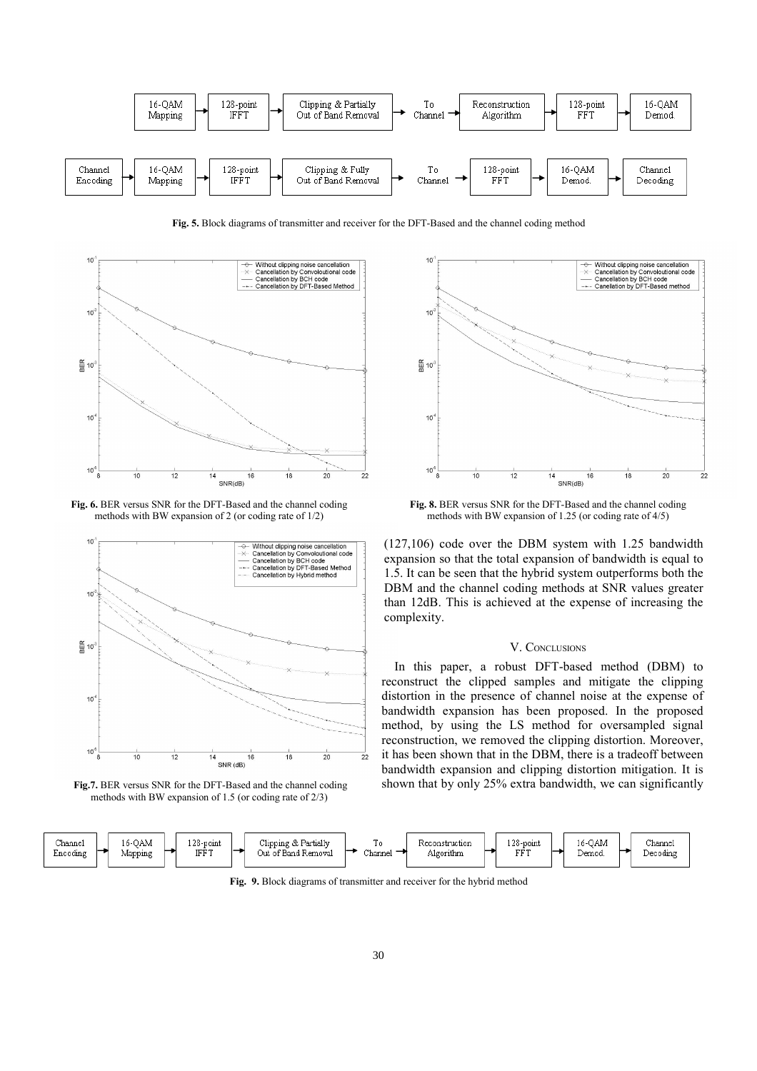

**Fig. 5.** Block diagrams of transmitter and receiver for the DFT-Based and the channel coding method



**Fig. 6.** BER versus SNR for the DFT-Based and the channel coding methods with BW expansion of 2 (or coding rate of 1/2)







**Fig. 8.** BER versus SNR for the DFT-Based and the channel coding methods with BW expansion of 1.25 (or coding rate of 4/5)

(127,106) code over the DBM system with 1.25 bandwidth expansion so that the total expansion of bandwidth is equal to 1.5. It can be seen that the hybrid system outperforms both the DBM and the channel coding methods at SNR values greater than 12dB. This is achieved at the expense of increasing the complexity.

# V. CONCLUSIONS

 In this paper, a robust DFT-based method (DBM) to reconstruct the clipped samples and mitigate the clipping distortion in the presence of channel noise at the expense of bandwidth expansion has been proposed. In the proposed method, by using the LS method for oversampled signal reconstruction, we removed the clipping distortion. Moreover, it has been shown that in the DBM, there is a tradeoff between bandwidth expansion and clipping distortion mitigation. It is shown that by only 25% extra bandwidth, we can significantly



**Fig. 9.** Block diagrams of transmitter and receiver for the hybrid method